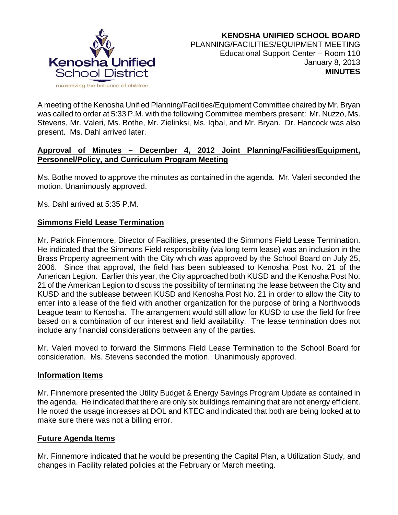

A meeting of the Kenosha Unified Planning/Facilities/Equipment Committee chaired by Mr. Bryan was called to order at 5:33 P.M. with the following Committee members present: Mr. Nuzzo, Ms. Stevens, Mr. Valeri, Ms. Bothe, Mr. Zielinksi, Ms. Iqbal, and Mr. Bryan. Dr. Hancock was also present. Ms. Dahl arrived later.

## **Approval of Minutes – December 4, 2012 Joint Planning/Facilities/Equipment, Personnel/Policy, and Curriculum Program Meeting**

Ms. Bothe moved to approve the minutes as contained in the agenda. Mr. Valeri seconded the motion. Unanimously approved.

Ms. Dahl arrived at 5:35 P.M.

# **Simmons Field Lease Termination**

Mr. Patrick Finnemore, Director of Facilities, presented the Simmons Field Lease Termination. He indicated that the Simmons Field responsibility (via long term lease) was an inclusion in the Brass Property agreement with the City which was approved by the School Board on July 25, 2006. Since that approval, the field has been subleased to Kenosha Post No. 21 of the American Legion. Earlier this year, the City approached both KUSD and the Kenosha Post No. 21 of the American Legion to discuss the possibility of terminating the lease between the City and KUSD and the sublease between KUSD and Kenosha Post No. 21 in order to allow the City to enter into a lease of the field with another organization for the purpose of bring a Northwoods League team to Kenosha. The arrangement would still allow for KUSD to use the field for free based on a combination of our interest and field availability. The lease termination does not include any financial considerations between any of the parties.

Mr. Valeri moved to forward the Simmons Field Lease Termination to the School Board for consideration. Ms. Stevens seconded the motion. Unanimously approved.

# **Information Items**

Mr. Finnemore presented the Utility Budget & Energy Savings Program Update as contained in the agenda. He indicated that there are only six buildings remaining that are not energy efficient. He noted the usage increases at DOL and KTEC and indicated that both are being looked at to make sure there was not a billing error.

# **Future Agenda Items**

Mr. Finnemore indicated that he would be presenting the Capital Plan, a Utilization Study, and changes in Facility related policies at the February or March meeting.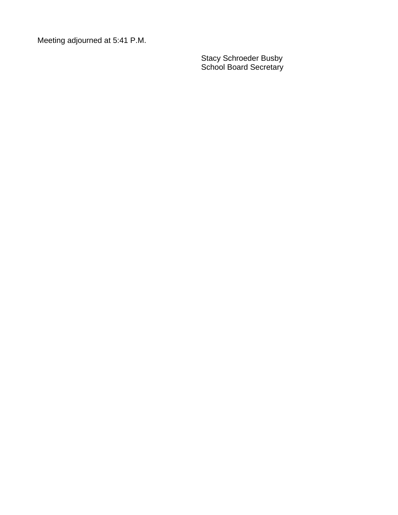Meeting adjourned at 5:41 P.M.

Stacy Schroeder Busby School Board Secretary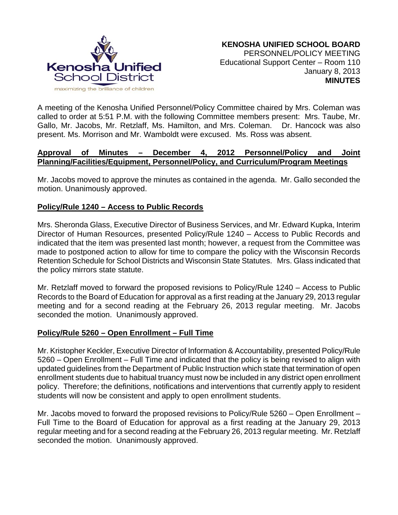

A meeting of the Kenosha Unified Personnel/Policy Committee chaired by Mrs. Coleman was called to order at 5:51 P.M. with the following Committee members present: Mrs. Taube, Mr. Gallo, Mr. Jacobs, Mr. Retzlaff, Ms. Hamilton, and Mrs. Coleman. Dr. Hancock was also present. Ms. Morrison and Mr. Wamboldt were excused. Ms. Ross was absent.

## **Approval of Minutes – December 4, 2012 Personnel/Policy and Joint Planning/Facilities/Equipment, Personnel/Policy, and Curriculum/Program Meetings**

Mr. Jacobs moved to approve the minutes as contained in the agenda. Mr. Gallo seconded the motion. Unanimously approved.

## **Policy/Rule 1240 – Access to Public Records**

Mrs. Sheronda Glass, Executive Director of Business Services, and Mr. Edward Kupka, Interim Director of Human Resources, presented Policy/Rule 1240 – Access to Public Records and indicated that the item was presented last month; however, a request from the Committee was made to postponed action to allow for time to compare the policy with the Wisconsin Records Retention Schedule for School Districts and Wisconsin State Statutes. Mrs. Glass indicated that the policy mirrors state statute.

Mr. Retzlaff moved to forward the proposed revisions to Policy/Rule 1240 – Access to Public Records to the Board of Education for approval as a first reading at the January 29, 2013 regular meeting and for a second reading at the February 26, 2013 regular meeting. Mr. Jacobs seconded the motion. Unanimously approved.

#### **Policy/Rule 5260 – Open Enrollment – Full Time**

Mr. Kristopher Keckler, Executive Director of Information & Accountability, presented Policy/Rule 5260 – Open Enrollment – Full Time and indicated that the policy is being revised to align with updated guidelines from the Department of Public Instruction which state that termination of open enrollment students due to habitual truancy must now be included in any district open enrollment policy. Therefore; the definitions, notifications and interventions that currently apply to resident students will now be consistent and apply to open enrollment students.

Mr. Jacobs moved to forward the proposed revisions to Policy/Rule 5260 – Open Enrollment – Full Time to the Board of Education for approval as a first reading at the January 29, 2013 regular meeting and for a second reading at the February 26, 2013 regular meeting. Mr. Retzlaff seconded the motion. Unanimously approved.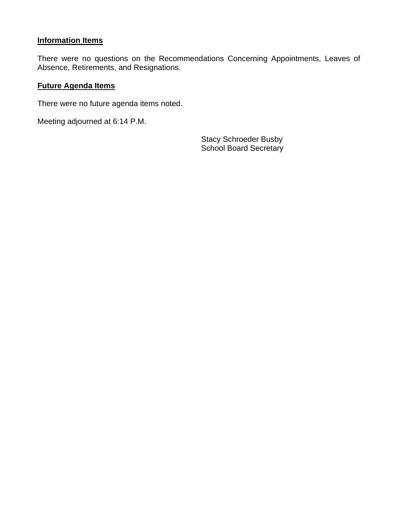# **Information Items**

There were no questions on the Recommendations Concerning Appointments, Leaves of Absence, Retirements, and Resignations.

#### **Future Agenda Items**

There were no future agenda items noted.

Meeting adjourned at 6:14 P.M.

Stacy Schroeder Busby School Board Secretary